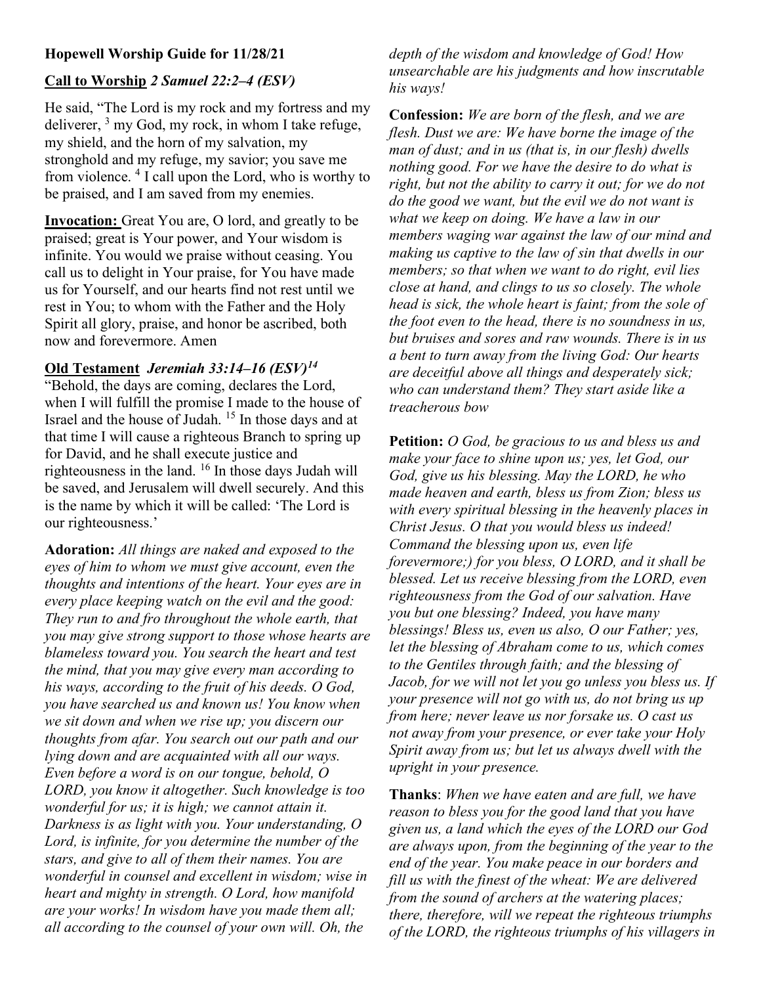### Hopewell Worship Guide for 11/28/21

# Call to Worship 2 Samuel 22:2–4 (ESV)

He said, "The Lord is my rock and my fortress and my deliverer,  $3 \text{ my God, my rock, in whom I take refuse,}$ my shield, and the horn of my salvation, my stronghold and my refuge, my savior; you save me from violence. <sup>4</sup> I call upon the Lord, who is worthy to be praised, and I am saved from my enemies.

Invocation: Great You are, O lord, and greatly to be praised; great is Your power, and Your wisdom is infinite. You would we praise without ceasing. You call us to delight in Your praise, for You have made us for Yourself, and our hearts find not rest until we rest in You; to whom with the Father and the Holy Spirit all glory, praise, and honor be ascribed, both now and forevermore. Amen

## Old Testament Jeremiah 33:14–16  $(ESV)^{14}$

"Behold, the days are coming, declares the Lord, when I will fulfill the promise I made to the house of Israel and the house of Judah. <sup>15</sup> In those days and at that time I will cause a righteous Branch to spring up for David, and he shall execute justice and righteousness in the land. <sup>16</sup> In those days Judah will be saved, and Jerusalem will dwell securely. And this is the name by which it will be called: 'The Lord is our righteousness.'

Adoration: All things are naked and exposed to the eyes of him to whom we must give account, even the thoughts and intentions of the heart. Your eyes are in every place keeping watch on the evil and the good: They run to and fro throughout the whole earth, that you may give strong support to those whose hearts are blameless toward you. You search the heart and test the mind, that you may give every man according to his ways, according to the fruit of his deeds. O God, you have searched us and known us! You know when we sit down and when we rise up; you discern our thoughts from afar. You search out our path and our lying down and are acquainted with all our ways. Even before a word is on our tongue, behold, O LORD, you know it altogether. Such knowledge is too wonderful for us; it is high; we cannot attain it. Darkness is as light with you. Your understanding, O Lord, is infinite, for you determine the number of the stars, and give to all of them their names. You are wonderful in counsel and excellent in wisdom; wise in heart and mighty in strength. O Lord, how manifold are your works! In wisdom have you made them all; all according to the counsel of your own will. Oh, the

depth of the wisdom and knowledge of God! How unsearchable are his judgments and how inscrutable his ways!

Confession: We are born of the flesh, and we are flesh. Dust we are: We have borne the image of the man of dust; and in us (that is, in our flesh) dwells nothing good. For we have the desire to do what is right, but not the ability to carry it out; for we do not do the good we want, but the evil we do not want is what we keep on doing. We have a law in our members waging war against the law of our mind and making us captive to the law of sin that dwells in our members; so that when we want to do right, evil lies close at hand, and clings to us so closely. The whole head is sick, the whole heart is faint; from the sole of the foot even to the head, there is no soundness in us, but bruises and sores and raw wounds. There is in us a bent to turn away from the living God: Our hearts are deceitful above all things and desperately sick; who can understand them? They start aside like a treacherous bow

Petition: *O God, be gracious to us and bless us and* make your face to shine upon us; yes, let God, our God, give us his blessing. May the LORD, he who made heaven and earth, bless us from Zion; bless us with every spiritual blessing in the heavenly places in Christ Jesus. O that you would bless us indeed! Command the blessing upon us, even life forevermore;) for you bless, O LORD, and it shall be blessed. Let us receive blessing from the LORD, even righteousness from the God of our salvation. Have you but one blessing? Indeed, you have many blessings! Bless us, even us also, O our Father; yes, let the blessing of Abraham come to us, which comes to the Gentiles through faith; and the blessing of Jacob, for we will not let you go unless you bless us. If your presence will not go with us, do not bring us up from here; never leave us nor forsake us. O cast us not away from your presence, or ever take your Holy Spirit away from us; but let us always dwell with the upright in your presence.

Thanks: When we have eaten and are full, we have reason to bless you for the good land that you have given us, a land which the eyes of the LORD our God are always upon, from the beginning of the year to the end of the year. You make peace in our borders and fill us with the finest of the wheat: We are delivered from the sound of archers at the watering places; there, therefore, will we repeat the righteous triumphs of the LORD, the righteous triumphs of his villagers in